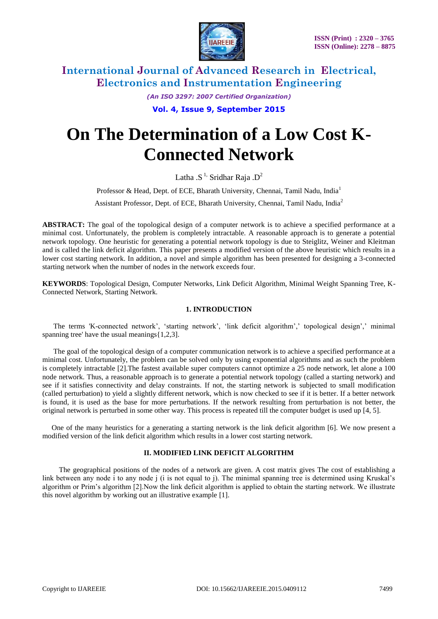

*(An ISO 3297: 2007 Certified Organization)*

**Vol. 4, Issue 9, September 2015**

# **On The Determination of a Low Cost K-Connected Network**

Latha .S<sup>1,</sup> Sridhar Raja .D<sup>2</sup>

Professor & Head, Dept. of ECE, Bharath University, Chennai, Tamil Nadu, India<sup>1</sup>

Assistant Professor, Dept. of ECE, Bharath University, Chennai, Tamil Nadu, India<sup>2</sup>

**ABSTRACT:** The goal of the topological design of a computer network is to achieve a specified performance at a minimal cost. Unfortunately, the problem is completely intractable. A reasonable approach is to generate a potential network topology. One heuristic for generating a potential network topology is due to Steiglitz, Weiner and Kleitman and is called the link deficit algorithm. This paper presents a modified version of the above heuristic which results in a lower cost starting network. In addition, a novel and simple algorithm has been presented for designing a 3-connected starting network when the number of nodes in the network exceeds four.

**KEYWORDS**: Topological Design, Computer Networks, Link Deficit Algorithm, Minimal Weight Spanning Tree, K-Connected Network, Starting Network.

### **1. INTRODUCTION**

 The terms 'K-connected network', 'starting network', 'link deficit algorithm',' topological design',' minimal spanning tree' have the usual meanings{1,2,3].

 The goal of the topological design of a computer communication network is to achieve a specified performance at a minimal cost. Unfortunately, the problem can be solved only by using exponential algorithms and as such the problem is completely intractable [2].The fastest available super computers cannot optimize a 25 node network, let alone a 100 node network. Thus, a reasonable approach is to generate a potential network topology (called a starting network) and see if it satisfies connectivity and delay constraints. If not, the starting network is subjected to small modification (called perturbation) to yield a slightly different network, which is now checked to see if it is better. If a better network is found, it is used as the base for more perturbations. If the network resulting from perturbation is not better, the original network is perturbed in some other way. This process is repeated till the computer budget is used up [4, 5].

 One of the many heuristics for a generating a starting network is the link deficit algorithm [6]. We now present a modified version of the link deficit algorithm which results in a lower cost starting network.

#### **II. MODIFIED LINK DEFICIT ALGORITHM**

 The geographical positions of the nodes of a network are given. A cost matrix gives The cost of establishing a link between any node i to any node j (i is not equal to j). The minimal spanning tree is determined using Kruskal's algorithm or Prim's algorithm [2].Now the link deficit algorithm is applied to obtain the starting network. We illustrate this novel algorithm by working out an illustrative example [1].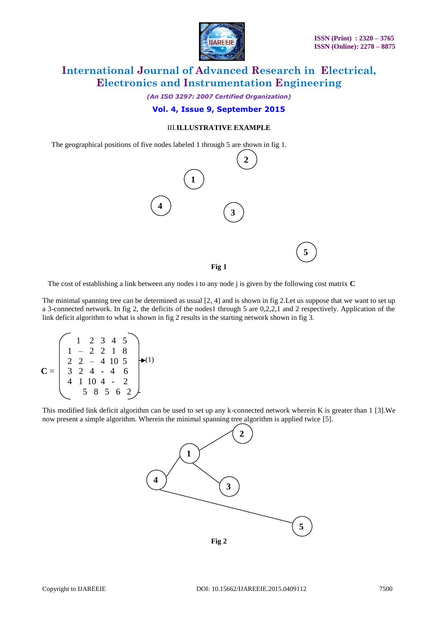

*(An ISO 3297: 2007 Certified Organization)*

### **Vol. 4, Issue 9, September 2015**

#### III.**ILLUSTRATIVE EXAMPLE**

The geographical positions of five nodes labeled 1 through 5 are shown in fig 1.



The cost of establishing a link between any nodes i to any node j is given by the following cost matrix **C**

The minimal spanning tree can be determined as usual [2, 4] and is shown in fig 2.Let us suppose that we want to set up a 3-connected network. In fig 2, the deficits of the nodes1 through 5 are 0,2,2,1 and 2 respectively. Application of the link deficit algorithm to what is shown in fig 2 results in the starting network shown in fig 3.

$$
\mathbf{C} = \begin{pmatrix} 1 & 2 & 3 & 4 & 5 \\ 1 & -2 & 2 & 1 & 8 \\ 2 & 2 & -4 & 10 & 5 \\ 3 & 2 & 4 & -4 & 6 \\ 4 & 1 & 10 & 4 & -2 \\ 5 & 8 & 5 & 6 & 2 \end{pmatrix} \bullet (1)
$$

This modified link deficit algorithm can be used to set up any k-connected network wherein K is greater than 1 [3].We now present a simple algorithm. Wherein the minimal spanning tree algorithm is applied twice [5].

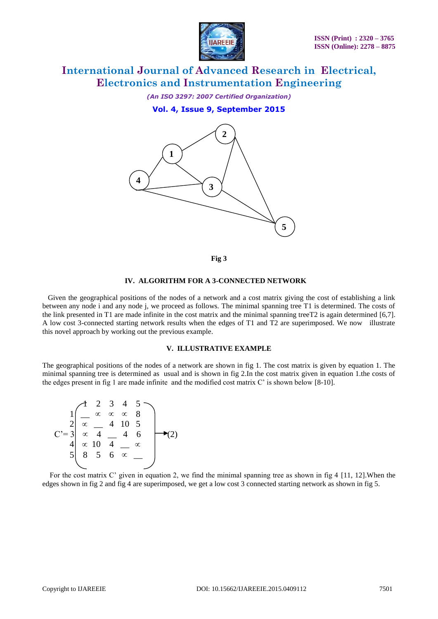

*(An ISO 3297: 2007 Certified Organization)*

**Vol. 4, Issue 9, September 2015**



**Fig 3**

#### **IV. ALGORITHM FOR A 3-CONNECTED NETWORK**

 Given the geographical positions of the nodes of a network and a cost matrix giving the cost of establishing a link between any node i and any node j, we proceed as follows. The minimal spanning tree T1 is determined. The costs of the link presented in T1 are made infinite in the cost matrix and the minimal spanning treeT2 is again determined [6,7]. A low cost 3-connected starting network results when the edges of T1 and T2 are superimposed. We now illustrate this novel approach by working out the previous example.

#### **V. ILLUSTRATIVE EXAMPLE**

The geographical positions of the nodes of a network are shown in fig 1. The cost matrix is given by equation 1. The minimal spanning tree is determined as usual and is shown in fig 2.In the cost matrix given in equation 1.the costs of the edges present in fig 1 are made infinite and the modified cost matrix C' is shown below [8-10].



 For the cost matrix C' given in equation 2, we find the minimal spanning tree as shown in fig 4 [11, 12].When the edges shown in fig 2 and fig 4 are superimposed, we get a low cost 3 connected starting network as shown in fig 5.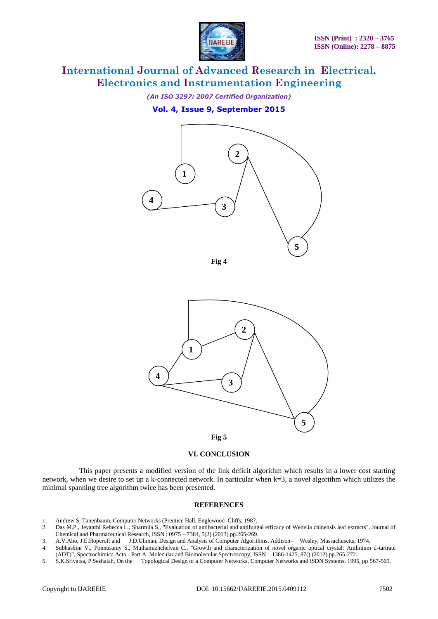

*(An ISO 3297: 2007 Certified Organization)*

**Vol. 4, Issue 9, September 2015**



**Fig 4**



#### **VI. CONCLUSION**

 This paper presents a modified version of the link deficit algorithm which results in a lower cost starting network, when we desire to set up a k-connected network. In particular when k=3, a novel algorithm which utilizes the minimal spanning tree algorithm twice has been presented.

#### **REFERENCES**

- 1. Andrew S. Tanenbaum, Computer Networks (Prentice Hall, Englewood Cliffs, 1987.
- 2. Das M.P., Jeyanthi Rebecca L., Sharmila S., "Evaluation of antibacterial and antifungal efficacy of Wedelia chinensis leaf extracts", Journal of Chemical and Pharmaceutical Research, ISSN : 0975 – 7384, 5(2) (2013) pp.265-269.
- 3. A.V.Aho, J.E.Hopcroft and J.D.Ullman, Design and Analysis of Computer Algorithms, Addison- Wesley, Massachusetts, 1974.
- 4. Subhashini V., Ponnusamy S., Muthamizhchelvan C., "Growth and characterization of novel organic optical crystal: Anilinium d-tartrate (ADT)", Spectrochimica Acta - Part A: Molecular and Biomolecular Spectroscopy, ISSN : 1386-1425, 87() (2012) pp.265-272.
- 5. S.K.Srivatsa, P.Seshaiah, On the Topological Design of a Computer Networks, Computer Networks and ISDN Systems, 1995, pp 567-569.